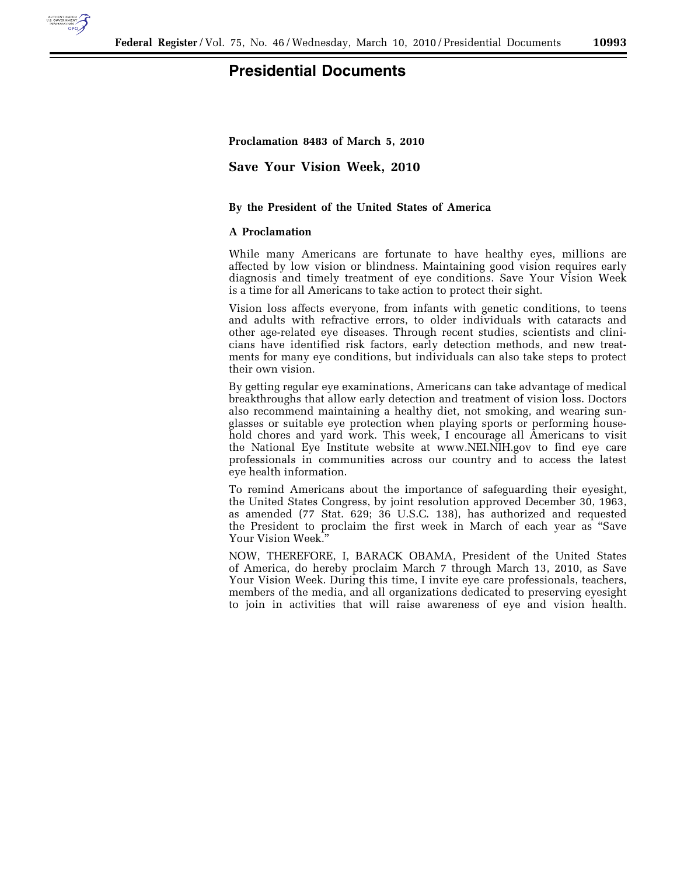

## **Presidential Documents**

**Proclamation 8483 of March 5, 2010** 

**Save Your Vision Week, 2010** 

## **By the President of the United States of America**

## **A Proclamation**

While many Americans are fortunate to have healthy eyes, millions are affected by low vision or blindness. Maintaining good vision requires early diagnosis and timely treatment of eye conditions. Save Your Vision Week is a time for all Americans to take action to protect their sight.

Vision loss affects everyone, from infants with genetic conditions, to teens and adults with refractive errors, to older individuals with cataracts and other age-related eye diseases. Through recent studies, scientists and clinicians have identified risk factors, early detection methods, and new treatments for many eye conditions, but individuals can also take steps to protect their own vision.

By getting regular eye examinations, Americans can take advantage of medical breakthroughs that allow early detection and treatment of vision loss. Doctors also recommend maintaining a healthy diet, not smoking, and wearing sunglasses or suitable eye protection when playing sports or performing household chores and yard work. This week, I encourage all Americans to visit the National Eye Institute website at www.NEI.NIH.gov to find eye care professionals in communities across our country and to access the latest eye health information.

To remind Americans about the importance of safeguarding their eyesight, the United States Congress, by joint resolution approved December 30, 1963, as amended (77 Stat. 629; 36 U.S.C. 138), has authorized and requested the President to proclaim the first week in March of each year as ''Save Your Vision Week.''

NOW, THEREFORE, I, BARACK OBAMA, President of the United States of America, do hereby proclaim March 7 through March 13, 2010, as Save Your Vision Week. During this time, I invite eye care professionals, teachers, members of the media, and all organizations dedicated to preserving eyesight to join in activities that will raise awareness of eye and vision health.